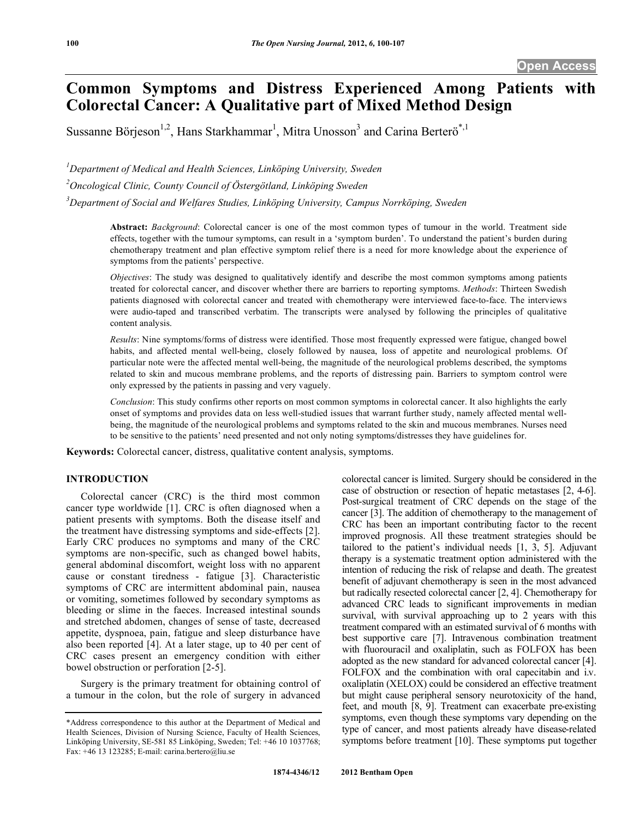# **Common Symptoms and Distress Experienced Among Patients with Colorectal Cancer: A Qualitative part of Mixed Method Design**

Sussanne Börjeson<sup>1,2</sup>, Hans Starkhammar<sup>1</sup>, Mitra Unosson<sup>3</sup> and Carina Berterö<sup>\*,1</sup>

<sup>1</sup>Department of Medical and Health Sciences, Linköping University, Sweden

*2 Oncological Clinic, County Council of Östergötland, Linköping Sweden* 

*3 Department of Social and Welfares Studies, Linköping University, Campus Norrköping, Sweden* 

**Abstract:** *Background*: Colorectal cancer is one of the most common types of tumour in the world. Treatment side effects, together with the tumour symptoms, can result in a 'symptom burden'. To understand the patient's burden during chemotherapy treatment and plan effective symptom relief there is a need for more knowledge about the experience of symptoms from the patients' perspective.

*Objectives*: The study was designed to qualitatively identify and describe the most common symptoms among patients treated for colorectal cancer, and discover whether there are barriers to reporting symptoms. *Methods*: Thirteen Swedish patients diagnosed with colorectal cancer and treated with chemotherapy were interviewed face-to-face. The interviews were audio-taped and transcribed verbatim. The transcripts were analysed by following the principles of qualitative content analysis.

*Results*: Nine symptoms/forms of distress were identified. Those most frequently expressed were fatigue, changed bowel habits, and affected mental well-being, closely followed by nausea, loss of appetite and neurological problems. Of particular note were the affected mental well-being, the magnitude of the neurological problems described, the symptoms related to skin and mucous membrane problems, and the reports of distressing pain. Barriers to symptom control were only expressed by the patients in passing and very vaguely.

*Conclusion*: This study confirms other reports on most common symptoms in colorectal cancer. It also highlights the early onset of symptoms and provides data on less well-studied issues that warrant further study, namely affected mental wellbeing, the magnitude of the neurological problems and symptoms related to the skin and mucous membranes. Nurses need to be sensitive to the patients' need presented and not only noting symptoms/distresses they have guidelines for.

**Keywords:** Colorectal cancer, distress, qualitative content analysis, symptoms.

# **INTRODUCTION**

 Colorectal cancer (CRC) is the third most common cancer type worldwide [1]. CRC is often diagnosed when a patient presents with symptoms. Both the disease itself and the treatment have distressing symptoms and side-effects [2]. Early CRC produces no symptoms and many of the CRC symptoms are non-specific, such as changed bowel habits, general abdominal discomfort, weight loss with no apparent cause or constant tiredness - fatigue [3]. Characteristic symptoms of CRC are intermittent abdominal pain, nausea or vomiting, sometimes followed by secondary symptoms as bleeding or slime in the faeces. Increased intestinal sounds and stretched abdomen, changes of sense of taste, decreased appetite, dyspnoea, pain, fatigue and sleep disturbance have also been reported [4]. At a later stage, up to 40 per cent of CRC cases present an emergency condition with either bowel obstruction or perforation [2-5].

 Surgery is the primary treatment for obtaining control of a tumour in the colon, but the role of surgery in advanced colorectal cancer is limited. Surgery should be considered in the case of obstruction or resection of hepatic metastases [2, 4-6]. Post-surgical treatment of CRC depends on the stage of the cancer [3]. The addition of chemotherapy to the management of CRC has been an important contributing factor to the recent improved prognosis. All these treatment strategies should be tailored to the patient's individual needs [1, 3, 5]. Adjuvant therapy is a systematic treatment option administered with the intention of reducing the risk of relapse and death. The greatest benefit of adjuvant chemotherapy is seen in the most advanced but radically resected colorectal cancer [2, 4]. Chemotherapy for advanced CRC leads to significant improvements in median survival, with survival approaching up to 2 years with this treatment compared with an estimated survival of 6 months with best supportive care [7]. Intravenous combination treatment with fluorouracil and oxaliplatin, such as FOLFOX has been adopted as the new standard for advanced colorectal cancer [4]. FOLFOX and the combination with oral capecitabin and i.v. oxaliplatin (XELOX) could be considered an effective treatment but might cause peripheral sensory neurotoxicity of the hand, feet, and mouth [8, 9]. Treatment can exacerbate pre-existing symptoms, even though these symptoms vary depending on the type of cancer, and most patients already have disease-related symptoms before treatment [10]. These symptoms put together

<sup>\*</sup>Address correspondence to this author at the Department of Medical and Health Sciences, Division of Nursing Science, Faculty of Health Sciences, Linköping University, SE-581 85 Linköping, Sweden; Tel: +46 10 1037768; Fax: +46 13 123285; E-mail: carina.bertero@liu.se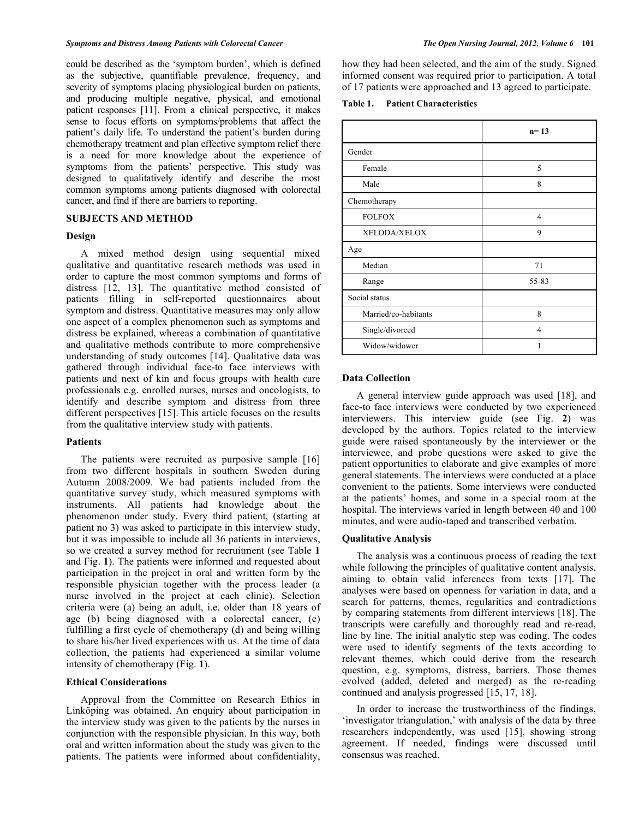could be described as the 'symptom burden', which is defined as the subjective, quantifiable prevalence, frequency, and severity of symptoms placing physiological burden on patients, and producing multiple negative, physical, and emotional patient responses [11]. From a clinical perspective, it makes sense to focus efforts on symptoms/problems that affect the patient's daily life. To understand the patient's burden during chemotherapy treatment and plan effective symptom relief there is a need for more knowledge about the experience of symptoms from the patients' perspective. This study was designed to qualitatively identify and describe the most common symptoms among patients diagnosed with colorectal cancer, and find if there are barriers to reporting.

#### **SUBJECTS AND METHOD**

#### **Design**

 A mixed method design using sequential mixed qualitative and quantitative research methods was used in order to capture the most common symptoms and forms of distress [12, 13]. The quantitative method consisted of patients filling in self-reported questionnaires about symptom and distress. Quantitative measures may only allow one aspect of a complex phenomenon such as symptoms and distress be explained, whereas a combination of quantitative and qualitative methods contribute to more comprehensive understanding of study outcomes [14]. Qualitative data was gathered through individual face-to face interviews with patients and next of kin and focus groups with health care professionals e.g. enrolled nurses, nurses and oncologists, to identify and describe symptom and distress from three different perspectives [15]. This article focuses on the results from the qualitative interview study with patients.

## **Patients**

 The patients were recruited as purposive sample [16] from two different hospitals in southern Sweden during Autumn 2008/2009. We had patients included from the quantitative survey study, which measured symptoms with instruments. All patients had knowledge about the phenomenon under study. Every third patient, (starting at patient no 3) was asked to participate in this interview study, but it was impossible to include all 36 patients in interviews, so we created a survey method for recruitment (see Table **1** and Fig. **1**). The patients were informed and requested about participation in the project in oral and written form by the responsible physician together with the process leader (a nurse involved in the project at each clinic). Selection criteria were (a) being an adult, i.e. older than 18 years of age (b) being diagnosed with a colorectal cancer, (c) fulfilling a first cycle of chemotherapy (d) and being willing to share his/her lived experiences with us. At the time of data collection, the patients had experienced a similar volume intensity of chemotherapy (Fig. **1**).

#### **Ethical Considerations**

 Approval from the Committee on Research Ethics in Linköping was obtained. An enquiry about participation in the interview study was given to the patients by the nurses in conjunction with the responsible physician. In this way, both oral and written information about the study was given to the patients. The patients were informed about confidentiality,

how they had been selected, and the aim of the study. Signed informed consent was required prior to participation. A total of 17 patients were approached and 13 agreed to participate.

**Table 1. Patient Characteristics** 

|                      | $n=13$         |
|----------------------|----------------|
| Gender               |                |
| Female               | 5              |
| Male                 | 8              |
| Chemotherapy         |                |
| <b>FOLFOX</b>        | $\overline{4}$ |
| XELODA/XELOX         | 9              |
| Age                  |                |
| Median               | 71             |
| Range                | 55-83          |
| Social status        |                |
| Married/co-habitants | 8              |
| Single/divorced      | $\overline{4}$ |
| Widow/widower        |                |

#### **Data Collection**

 A general interview guide approach was used [18], and face-to face interviews were conducted by two experienced interviewers. This interview guide (see Fig. **2**) was developed by the authors. Topics related to the interview guide were raised spontaneously by the interviewer or the interviewee, and probe questions were asked to give the patient opportunities to elaborate and give examples of more general statements. The interviews were conducted at a place convenient to the patients. Some interviews were conducted at the patients' homes, and some in a special room at the hospital. The interviews varied in length between 40 and 100 minutes, and were audio-taped and transcribed verbatim.

#### **Qualitative Analysis**

 The analysis was a continuous process of reading the text while following the principles of qualitative content analysis, aiming to obtain valid inferences from texts [17]. The analyses were based on openness for variation in data, and a search for patterns, themes, regularities and contradictions by comparing statements from different interviews [18]. The transcripts were carefully and thoroughly read and re-read, line by line. The initial analytic step was coding. The codes were used to identify segments of the texts according to relevant themes, which could derive from the research question, e.g. symptoms, distress, barriers. Those themes evolved (added, deleted and merged) as the re-reading continued and analysis progressed [15, 17, 18].

 In order to increase the trustworthiness of the findings, 'investigator triangulation,' with analysis of the data by three researchers independently, was used [15], showing strong agreement. If needed, findings were discussed until consensus was reached.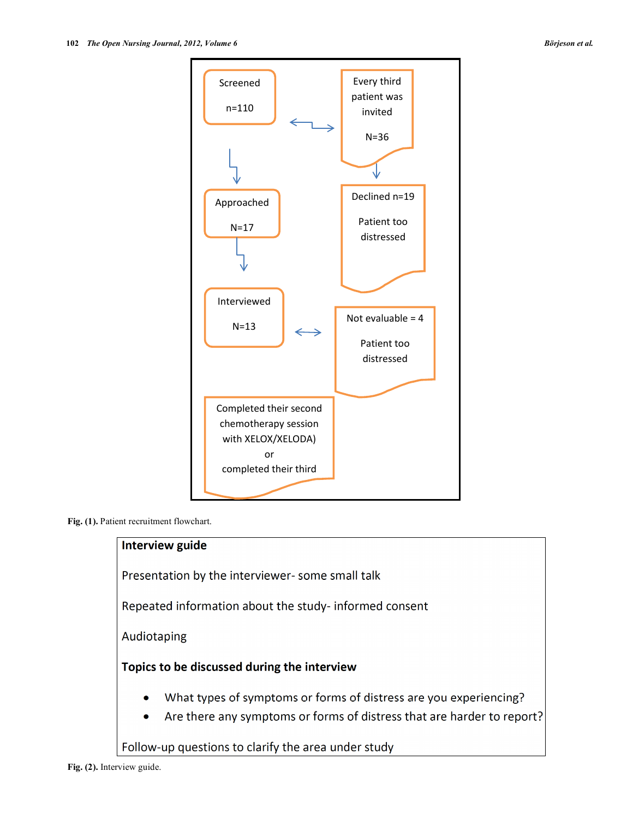

**Fig. (1).** Patient recruitment flowchart.

# Interview guide

Presentation by the interviewer-some small talk

Repeated information about the study- informed consent

Audiotaping

# Topics to be discussed during the interview

- What types of symptoms or forms of distress are you experiencing?
- Are there any symptoms or forms of distress that are harder to report?  $\bullet$

Follow-up questions to clarify the area under study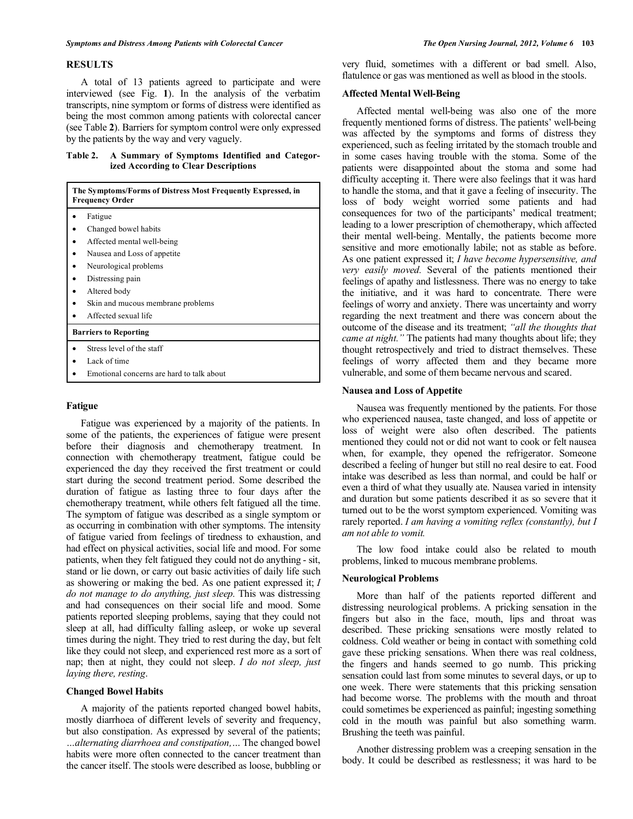#### **RESULTS**

 A total of 13 patients agreed to participate and were interviewed (see Fig. **1**). In the analysis of the verbatim transcripts, nine symptom or forms of distress were identified as being the most common among patients with colorectal cancer (see Table **2**). Barriers for symptom control were only expressed by the patients by the way and very vaguely.

# **Table 2. A Summary of Symptoms Identified and Categorized According to Clear Descriptions**

| The Symptoms/Forms of Distress Most Frequently Expressed, in<br><b>Frequency Order</b> |                                           |
|----------------------------------------------------------------------------------------|-------------------------------------------|
|                                                                                        | Fatigue                                   |
|                                                                                        | Changed bowel habits                      |
|                                                                                        | Affected mental well-being                |
|                                                                                        | Nausea and Loss of appetite               |
|                                                                                        | Neurological problems                     |
|                                                                                        | Distressing pain                          |
|                                                                                        | Altered body                              |
|                                                                                        | Skin and mucous membrane problems         |
|                                                                                        | Affected sexual life                      |
| <b>Barriers to Reporting</b>                                                           |                                           |
|                                                                                        | Stress level of the staff                 |
|                                                                                        | Lack of time                              |
|                                                                                        | Emotional concerns are hard to talk about |

#### **Fatigue**

 Fatigue was experienced by a majority of the patients. In some of the patients, the experiences of fatigue were present before their diagnosis and chemotherapy treatment. In connection with chemotherapy treatment, fatigue could be experienced the day they received the first treatment or could start during the second treatment period. Some described the duration of fatigue as lasting three to four days after the chemotherapy treatment, while others felt fatigued all the time. The symptom of fatigue was described as a single symptom or as occurring in combination with other symptoms. The intensity of fatigue varied from feelings of tiredness to exhaustion, and had effect on physical activities, social life and mood. For some patients, when they felt fatigued they could not do anything - sit, stand or lie down, or carry out basic activities of daily life such as showering or making the bed. As one patient expressed it; *I do not manage to do anything, just sleep.* This was distressing and had consequences on their social life and mood. Some patients reported sleeping problems, saying that they could not sleep at all, had difficulty falling asleep, or woke up several times during the night. They tried to rest during the day, but felt like they could not sleep, and experienced rest more as a sort of nap; then at night, they could not sleep. *I do not sleep, just laying there, resting*.

#### **Changed Bowel Habits**

 A majority of the patients reported changed bowel habits, mostly diarrhoea of different levels of severity and frequency, but also constipation. As expressed by several of the patients; *…alternating diarrhoea and constipation,…* The changed bowel habits were more often connected to the cancer treatment than the cancer itself. The stools were described as loose, bubbling or very fluid, sometimes with a different or bad smell. Also, flatulence or gas was mentioned as well as blood in the stools.

## **Affected Mental Well-Being**

 Affected mental well-being was also one of the more frequently mentioned forms of distress. The patients' well-being was affected by the symptoms and forms of distress they experienced, such as feeling irritated by the stomach trouble and in some cases having trouble with the stoma. Some of the patients were disappointed about the stoma and some had difficulty accepting it. There were also feelings that it was hard to handle the stoma, and that it gave a feeling of insecurity. The loss of body weight worried some patients and had consequences for two of the participants' medical treatment; leading to a lower prescription of chemotherapy, which affected their mental well-being. Mentally, the patients become more sensitive and more emotionally labile; not as stable as before. As one patient expressed it; *I have become hypersensitive, and very easily moved.* Several of the patients mentioned their feelings of apathy and listlessness. There was no energy to take the initiative, and it was hard to concentrate. There were feelings of worry and anxiety. There was uncertainty and worry regarding the next treatment and there was concern about the outcome of the disease and its treatment; *"all the thoughts that came at night."* The patients had many thoughts about life; they thought retrospectively and tried to distract themselves. These feelings of worry affected them and they became more vulnerable, and some of them became nervous and scared.

#### **Nausea and Loss of Appetite**

 Nausea was frequently mentioned by the patients. For those who experienced nausea, taste changed, and loss of appetite or loss of weight were also often described. The patients mentioned they could not or did not want to cook or felt nausea when, for example, they opened the refrigerator. Someone described a feeling of hunger but still no real desire to eat. Food intake was described as less than normal, and could be half or even a third of what they usually ate. Nausea varied in intensity and duration but some patients described it as so severe that it turned out to be the worst symptom experienced. Vomiting was rarely reported. *I am having a vomiting reflex (constantly), but I am not able to vomit.* 

 The low food intake could also be related to mouth problems, linked to mucous membrane problems.

## **Neurological Problems**

 More than half of the patients reported different and distressing neurological problems. A pricking sensation in the fingers but also in the face, mouth, lips and throat was described. These pricking sensations were mostly related to coldness. Cold weather or being in contact with something cold gave these pricking sensations. When there was real coldness, the fingers and hands seemed to go numb. This pricking sensation could last from some minutes to several days, or up to one week. There were statements that this pricking sensation had become worse. The problems with the mouth and throat could sometimes be experienced as painful; ingesting something cold in the mouth was painful but also something warm. Brushing the teeth was painful.

 Another distressing problem was a creeping sensation in the body. It could be described as restlessness; it was hard to be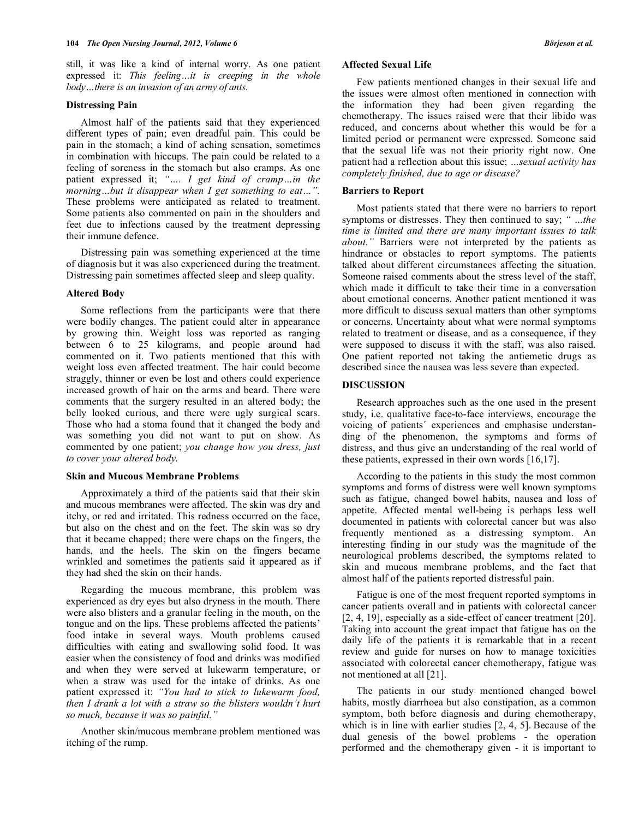still, it was like a kind of internal worry. As one patient expressed it: *This feeling…it is creeping in the whole body…there is an invasion of an army of ants.* 

## **Distressing Pain**

 Almost half of the patients said that they experienced different types of pain; even dreadful pain. This could be pain in the stomach; a kind of aching sensation, sometimes in combination with hiccups. The pain could be related to a feeling of soreness in the stomach but also cramps. As one patient expressed it; *"…. I get kind of cramp…in the morning…but it disappear when I get something to eat…".*  These problems were anticipated as related to treatment. Some patients also commented on pain in the shoulders and feet due to infections caused by the treatment depressing their immune defence.

 Distressing pain was something experienced at the time of diagnosis but it was also experienced during the treatment. Distressing pain sometimes affected sleep and sleep quality.

## **Altered Body**

 Some reflections from the participants were that there were bodily changes. The patient could alter in appearance by growing thin. Weight loss was reported as ranging between 6 to 25 kilograms, and people around had commented on it. Two patients mentioned that this with weight loss even affected treatment. The hair could become straggly, thinner or even be lost and others could experience increased growth of hair on the arms and beard. There were comments that the surgery resulted in an altered body; the belly looked curious, and there were ugly surgical scars. Those who had a stoma found that it changed the body and was something you did not want to put on show. As commented by one patient; *you change how you dress, just to cover your altered body.*

#### **Skin and Mucous Membrane Problems**

 Approximately a third of the patients said that their skin and mucous membranes were affected. The skin was dry and itchy, or red and irritated. This redness occurred on the face, but also on the chest and on the feet. The skin was so dry that it became chapped; there were chaps on the fingers, the hands, and the heels. The skin on the fingers became wrinkled and sometimes the patients said it appeared as if they had shed the skin on their hands.

 Regarding the mucous membrane, this problem was experienced as dry eyes but also dryness in the mouth. There were also blisters and a granular feeling in the mouth, on the tongue and on the lips. These problems affected the patients' food intake in several ways. Mouth problems caused difficulties with eating and swallowing solid food. It was easier when the consistency of food and drinks was modified and when they were served at lukewarm temperature, or when a straw was used for the intake of drinks. As one patient expressed it: *"You had to stick to lukewarm food, then I drank a lot with a straw so the blisters wouldn't hurt so much, because it was so painful."*

 Another skin/mucous membrane problem mentioned was itching of the rump.

#### **Affected Sexual Life**

 Few patients mentioned changes in their sexual life and the issues were almost often mentioned in connection with the information they had been given regarding the chemotherapy. The issues raised were that their libido was reduced, and concerns about whether this would be for a limited period or permanent were expressed. Someone said that the sexual life was not their priority right now. One patient had a reflection about this issue; *…sexual activity has completely finished, due to age or disease?* 

#### **Barriers to Report**

 Most patients stated that there were no barriers to report symptoms or distresses. They then continued to say; *" …the time is limited and there are many important issues to talk about."* Barriers were not interpreted by the patients as hindrance or obstacles to report symptoms. The patients talked about different circumstances affecting the situation. Someone raised comments about the stress level of the staff, which made it difficult to take their time in a conversation about emotional concerns. Another patient mentioned it was more difficult to discuss sexual matters than other symptoms or concerns. Uncertainty about what were normal symptoms related to treatment or disease, and as a consequence, if they were supposed to discuss it with the staff, was also raised. One patient reported not taking the antiemetic drugs as described since the nausea was less severe than expected.

#### **DISCUSSION**

 Research approaches such as the one used in the present study, i.e. qualitative face-to-face interviews, encourage the voicing of patients´ experiences and emphasise understanding of the phenomenon, the symptoms and forms of distress, and thus give an understanding of the real world of these patients, expressed in their own words [16,17].

 According to the patients in this study the most common symptoms and forms of distress were well known symptoms such as fatigue, changed bowel habits, nausea and loss of appetite. Affected mental well-being is perhaps less well documented in patients with colorectal cancer but was also frequently mentioned as a distressing symptom. An interesting finding in our study was the magnitude of the neurological problems described, the symptoms related to skin and mucous membrane problems, and the fact that almost half of the patients reported distressful pain.

 Fatigue is one of the most frequent reported symptoms in cancer patients overall and in patients with colorectal cancer [2, 4, 19], especially as a side-effect of cancer treatment [20]. Taking into account the great impact that fatigue has on the daily life of the patients it is remarkable that in a recent review and guide for nurses on how to manage toxicities associated with colorectal cancer chemotherapy, fatigue was not mentioned at all [21].

 The patients in our study mentioned changed bowel habits, mostly diarrhoea but also constipation, as a common symptom, both before diagnosis and during chemotherapy, which is in line with earlier studies [2, 4, 5]. Because of the dual genesis of the bowel problems - the operation performed and the chemotherapy given - it is important to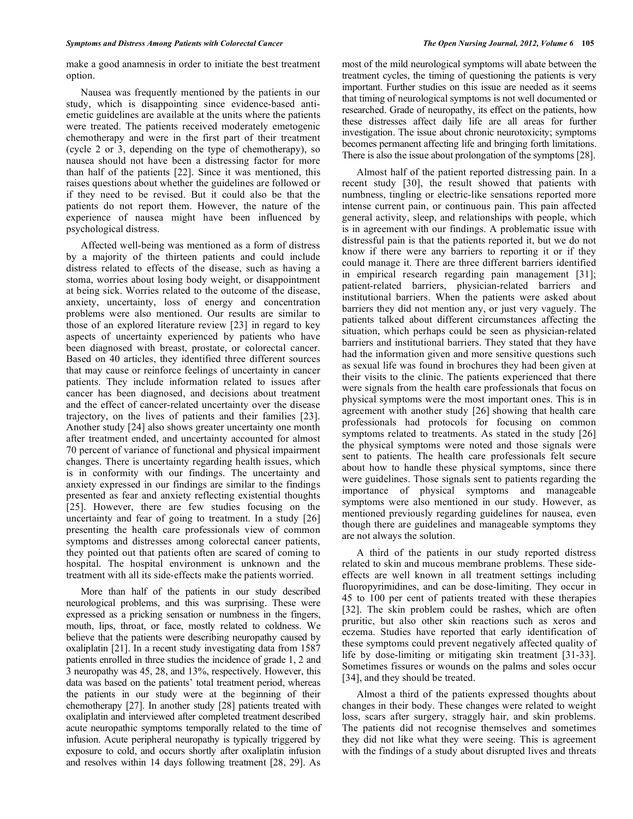make a good anamnesis in order to initiate the best treatment option.

 Nausea was frequently mentioned by the patients in our study, which is disappointing since evidence-based antiemetic guidelines are available at the units where the patients were treated. The patients received moderately emetogenic chemotherapy and were in the first part of their treatment (cycle 2 or 3, depending on the type of chemotherapy), so nausea should not have been a distressing factor for more than half of the patients [22]. Since it was mentioned, this raises questions about whether the guidelines are followed or if they need to be revised. But it could also be that the patients do not report them. However, the nature of the experience of nausea might have been influenced by psychological distress.

 Affected well-being was mentioned as a form of distress by a majority of the thirteen patients and could include distress related to effects of the disease, such as having a stoma, worries about losing body weight, or disappointment at being sick. Worries related to the outcome of the disease, anxiety, uncertainty, loss of energy and concentration problems were also mentioned. Our results are similar to those of an explored literature review [23] in regard to key aspects of uncertainty experienced by patients who have been diagnosed with breast, prostate, or colorectal cancer. Based on 40 articles, they identified three different sources that may cause or reinforce feelings of uncertainty in cancer patients. They include information related to issues after cancer has been diagnosed, and decisions about treatment and the effect of cancer-related uncertainty over the disease trajectory, on the lives of patients and their families [23]. Another study [24] also shows greater uncertainty one month after treatment ended, and uncertainty accounted for almost 70 percent of variance of functional and physical impairment changes. There is uncertainty regarding health issues, which is in conformity with our findings. The uncertainty and anxiety expressed in our findings are similar to the findings presented as fear and anxiety reflecting existential thoughts [25]. However, there are few studies focusing on the uncertainty and fear of going to treatment. In a study [26] presenting the health care professionals view of common symptoms and distresses among colorectal cancer patients, they pointed out that patients often are scared of coming to hospital. The hospital environment is unknown and the treatment with all its side-effects make the patients worried.

 More than half of the patients in our study described neurological problems, and this was surprising. These were expressed as a pricking sensation or numbness in the fingers, mouth, lips, throat, or face, mostly related to coldness. We believe that the patients were describing neuropathy caused by oxaliplatin [21]. In a recent study investigating data from 1587 patients enrolled in three studies the incidence of grade 1, 2 and 3 neuropathy was 45, 28, and 13%, respectively. However, this data was based on the patients' total treatment period, whereas the patients in our study were at the beginning of their chemotherapy [27]. In another study [28] patients treated with oxaliplatin and interviewed after completed treatment described acute neuropathic symptoms temporally related to the time of infusion. Acute peripheral neuropathy is typically triggered by exposure to cold, and occurs shortly after oxaliplatin infusion and resolves within 14 days following treatment [28, 29]. As

most of the mild neurological symptoms will abate between the treatment cycles, the timing of questioning the patients is very important. Further studies on this issue are needed as it seems that timing of neurological symptoms is not well documented or researched. Grade of neuropathy, its effect on the patients, how these distresses affect daily life are all areas for further investigation. The issue about chronic neurotoxicity; symptoms becomes permanent affecting life and bringing forth limitations. There is also the issue about prolongation of the symptoms [28].

 Almost half of the patient reported distressing pain. In a recent study [30], the result showed that patients with numbness, tingling or electric-like sensations reported more intense current pain, or continuous pain. This pain affected general activity, sleep, and relationships with people, which is in agreement with our findings. A problematic issue with distressful pain is that the patients reported it, but we do not know if there were any barriers to reporting it or if they could manage it. There are three different barriers identified in empirical research regarding pain management [31]; patient-related barriers, physician-related barriers and institutional barriers. When the patients were asked about barriers they did not mention any, or just very vaguely. The patients talked about different circumstances affecting the situation, which perhaps could be seen as physician-related barriers and institutional barriers. They stated that they have had the information given and more sensitive questions such as sexual life was found in brochures they had been given at their visits to the clinic. The patients experienced that there were signals from the health care professionals that focus on physical symptoms were the most important ones. This is in agreement with another study [26] showing that health care professionals had protocols for focusing on common symptoms related to treatments. As stated in the study [26] the physical symptoms were noted and those signals were sent to patients. The health care professionals felt secure about how to handle these physical symptoms, since there were guidelines. Those signals sent to patients regarding the importance of physical symptoms and manageable symptoms were also mentioned in our study. However, as mentioned previously regarding guidelines for nausea, even though there are guidelines and manageable symptoms they are not always the solution.

 A third of the patients in our study reported distress related to skin and mucous membrane problems. These sideeffects are well known in all treatment settings including fluoropyrimidines, and can be dose-limiting. They occur in 45 to 100 per cent of patients treated with these therapies [32]. The skin problem could be rashes, which are often pruritic, but also other skin reactions such as xeros and eczema. Studies have reported that early identification of these symptoms could prevent negatively affected quality of life by dose-limiting or mitigating skin treatment [31-33]. Sometimes fissures or wounds on the palms and soles occur [34], and they should be treated.

 Almost a third of the patients expressed thoughts about changes in their body. These changes were related to weight loss, scars after surgery, straggly hair, and skin problems. The patients did not recognise themselves and sometimes they did not like what they were seeing. This is agreement with the findings of a study about disrupted lives and threats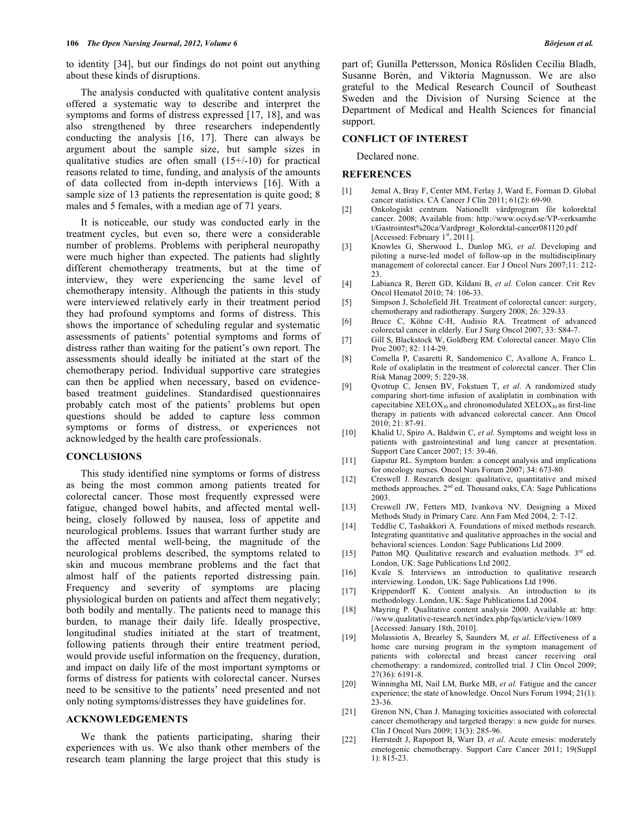to identity [34], but our findings do not point out anything about these kinds of disruptions.

 The analysis conducted with qualitative content analysis offered a systematic way to describe and interpret the symptoms and forms of distress expressed [17, 18], and was also strengthened by three researchers independently conducting the analysis [16, 17]. There can always be argument about the sample size, but sample sizes in qualitative studies are often small  $(15+/10)$  for practical reasons related to time, funding, and analysis of the amounts of data collected from in-depth interviews [16]. With a sample size of 13 patients the representation is quite good; 8 males and 5 females, with a median age of 71 years.

 It is noticeable, our study was conducted early in the treatment cycles, but even so, there were a considerable number of problems. Problems with peripheral neuropathy were much higher than expected. The patients had slightly different chemotherapy treatments, but at the time of interview, they were experiencing the same level of chemotherapy intensity. Although the patients in this study were interviewed relatively early in their treatment period they had profound symptoms and forms of distress. This shows the importance of scheduling regular and systematic assessments of patients' potential symptoms and forms of distress rather than waiting for the patient's own report. The assessments should ideally be initiated at the start of the chemotherapy period. Individual supportive care strategies can then be applied when necessary, based on evidencebased treatment guidelines. Standardised questionnaires probably catch most of the patients' problems but open questions should be added to capture less common symptoms or forms of distress, or experiences not acknowledged by the health care professionals.

#### **CONCLUSIONS**

 This study identified nine symptoms or forms of distress as being the most common among patients treated for colorectal cancer. Those most frequently expressed were fatigue, changed bowel habits, and affected mental wellbeing, closely followed by nausea, loss of appetite and neurological problems. Issues that warrant further study are the affected mental well-being, the magnitude of the neurological problems described, the symptoms related to skin and mucous membrane problems and the fact that almost half of the patients reported distressing pain. Frequency and severity of symptoms are placing physiological burden on patients and affect them negatively; both bodily and mentally. The patients need to manage this burden, to manage their daily life. Ideally prospective, longitudinal studies initiated at the start of treatment, following patients through their entire treatment period, would provide useful information on the frequency, duration, and impact on daily life of the most important symptoms or forms of distress for patients with colorectal cancer. Nurses need to be sensitive to the patients' need presented and not only noting symptoms/distresses they have guidelines for.

## **ACKNOWLEDGEMENTS**

 We thank the patients participating, sharing their experiences with us. We also thank other members of the research team planning the large project that this study is

#### **CONFLICT OF INTEREST**

Declared none.

#### **REFERENCES**

- [1] Jemal A, Bray F, Center MM, Ferlay J, Ward E, Forman D. Global cancer statistics. CA Cancer J Clin 2011; 61(2): 69-90.
- [2] Onkologiskt centrum. Nationellt vårdprogram för kolorektal cancer. 2008; Available from: http://www.ocsyd.se/VP-verksamhe t/Gastrointest%20ca/Vardprogr\_Kolorektal-cancer081120.pdf [Accessed: February  $1<sup>st</sup>$ , 2011].
- [3] Knowles G, Sherwood L, Dunlop MG, *et al*. Developing and piloting a nurse-led model of follow-up in the multidisciplinary management of colorectal cancer. Eur J Oncol Nurs 2007;11: 212-  $23.$
- [4] Labianca R, Berett GD, Kildani B, *et al*. Colon cancer. Crit Rev Oncol Hematol 2010; 74: 106-33.
- [5] Simpson J, Scholefield JH. Treatment of colorectal cancer: surgery, chemotherapy and radiotherapy. Surgery 2008; 26: 329-33.
- [6] Bruce C, Köhne C-H, Audisio RA. Treatment of advanced colorectal cancer in elderly. Eur J Surg Oncol 2007; 33: S84-7.
- [7] Gill S, Blackstock W, Goldberg RM. Colorectal cancer. Mayo Clin Proc 2007; 82: 114-29.
- [8] Comella P, Casaretti R, Sandomenico C, Avallone A, Franco L. Role of oxaliplatin in the treatment of colorectal cancer. Ther Clin Risk Manag 2009; 5: 229-38.
- [9] Qvotrup C, Jensen BV, Fokstuen T, *et al*. A randomized study comparing short-time infusion of axaliplatin in combination with capecitabine  $XELOX_{30}$  and chronomodulated  $XELOX_{30}$  as first-line therapy in patients with advanced colorectal cancer. Ann Oncol 2010; 21: 87-91.
- [10] Khalid U, Spiro A, Baldwin C, *et al*. Symptoms and weight loss in patients with gastrointestinal and lung cancer at presentation. Support Care Cancer 2007; 15: 39-46.
- [11] Gapstur RL. Symptom burden: a concept analysis and implications for oncology nurses. Oncol Nurs Forum 2007; 34: 673-80.
- [12] Creswell J. Research design: qualitative, quantitative and mixed methods approaches. 2<sup>nd</sup> ed. Thousand oaks, CA: Sage Publications 2003.
- [13] Creswell JW, Fetters MD, Ivankova NV. Designing a Mixed Methods Study in Primary Care. Ann Fam Med 2004, 2: 7-12.
- [14] Teddlie C, Tashakkori A. Foundations of mixed methods research. Integrating quantitative and qualitative approaches in the social and behavioral sciences. London: Sage Publications Ltd 2009.
- [15] Patton MQ. Qualitative research and evaluation methods. 3<sup>rd</sup> ed. London, UK: Sage Publications Ltd 2002.
- [16] Kvale S. Interviews an introduction to qualitative research interviewing. London, UK: Sage Publications Ltd 1996.
- [17] Krippendorff K. Content analysis. An introduction to its methodology. London, UK: Sage Publications Ltd 2004.
- [18] Mayring P. Qualitative content analysis 2000. Available at: http: //www.qualitative-research.net/index.php/fqs/article/view/1089 [Accessed: January 18th, 2010].
- [19] Molassiotis A, Brearley S, Saunders M, *et al*. Effectiveness of a home care nursing program in the symptom management of patients with colorectal and breast cancer receiving oral chemotherapy: a randomized, controlled trial. J Clin Oncol 2009; 27(36): 6191-8.
- [20] Winningha MI, Nail LM, Burke MB, *et al.* Fatigue and the cancer experience; the state of knowledge. Oncol Nurs Forum 1994; 21(1):  $23 - 36$ .
- [21] Grenon NN, Chan J. Managing toxicities associated with colorectal cancer chemotherapy and targeted therapy: a new guide for nurses. Clin J Oncol Nurs 2009; 13(3): 285-96.
- [22] Herrstedt J, Rapoport B, Warr D, *et al*. Acute emesis: moderately emetogenic chemotherapy. Support Care Cancer 2011; 19(Suppl 1): 815-23.